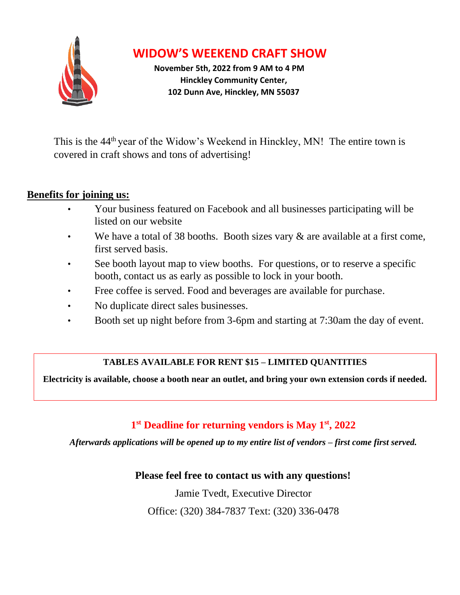

# **WIDOW'S WEEKEND CRAFT SHOW**

**November 5th, 2022 from 9 AM to 4 PM Hinckley Community Center, 102 Dunn Ave, Hinckley, MN 55037**

This is the 44<sup>th</sup> year of the Widow's Weekend in Hinckley, MN! The entire town is covered in craft shows and tons of advertising!

### **Benefits for joining us:**

- Your business featured on Facebook and all businesses participating will be listed on our website
- We have a total of 38 booths. Booth sizes vary  $\&$  are available at a first come, first served basis.
- See booth layout map to view booths. For questions, or to reserve a specific booth, contact us as early as possible to lock in your booth.
- Free coffee is served. Food and beverages are available for purchase.
- No duplicate direct sales businesses.
- Booth set up night before from 3-6pm and starting at 7:30am the day of event.

### **TABLES AVAILABLE FOR RENT \$15 – LIMITED QUANTITIES**

**Electricity is available, choose a booth near an outlet, and bring your own extension cords if needed.**

## **1 st Deadline for returning vendors is May 1 st, 2022**

*Afterwards applications will be opened up to my entire list of vendors – first come first served.*

**Please feel free to contact us with any questions!**

Jamie Tvedt, Executive Director

Office: (320) 384-7837 Text: (320) 336-0478